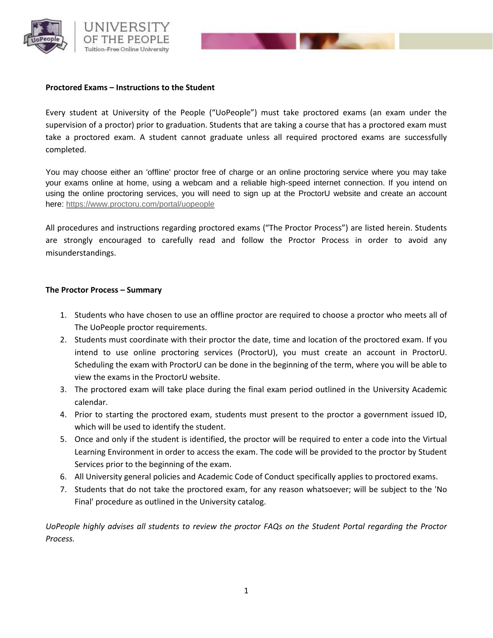

## **Proctored Exams – Instructions to the Student**

Every student at University of the People ("UoPeople") must take proctored exams (an exam under the supervision of a proctor) prior to graduation. Students that are taking a course that has a proctored exam must take a proctored exam. A student cannot graduate unless all required proctored exams are successfully completed.

You may choose either an 'offline' proctor free of charge or an online proctoring service where you may take your exams online at home, using a webcam and a reliable high-speed internet connection. If you intend on using the online proctoring services, you will need to sign up at the ProctorU website and create an account here: <https://www.proctoru.com/portal/uopeople>

All procedures and instructions regarding proctored exams ("The Proctor Process") are listed herein. Students are strongly encouraged to carefully read and follow the Proctor Process in order to avoid any misunderstandings.

## **The Proctor Process – Summary**

- 1. Students who have chosen to use an offline proctor are required to choose a proctor who meets all of The UoPeople proctor requirements.
- 2. Students must coordinate with their proctor the date, time and location of the proctored exam. If you intend to use online proctoring services (ProctorU), you must create an account in ProctorU. Scheduling the exam with ProctorU can be done in the beginning of the term, where you will be able to view the exams in the ProctorU website.
- 3. The proctored exam will take place during the final exam period outlined in the University Academic calendar.
- 4. Prior to starting the proctored exam, students must present to the proctor a government issued ID, which will be used to identify the student.
- 5. Once and only if the student is identified, the proctor will be required to enter a code into the Virtual Learning Environment in order to access the exam. The code will be provided to the proctor by Student Services prior to the beginning of the exam.
- 6. All University general policies and Academic Code of Conduct specifically applies to proctored exams.
- 7. Students that do not take the proctored exam, for any reason whatsoever; will be subject to the 'No Final' procedure as outlined in the University catalog.

*UoPeople highly advises all students to review the proctor FAQs on the Student Portal regarding the Proctor Process.*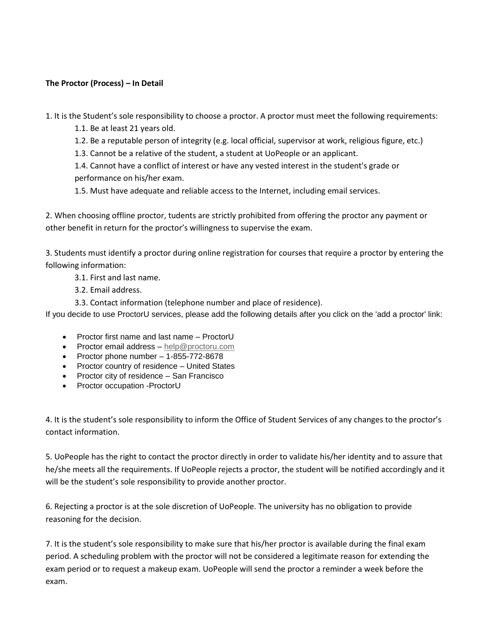## **The Proctor (Process) – In Detail**

1. It is the Student's sole responsibility to choose a proctor. A proctor must meet the following requirements:

- 1.1. Be at least 21 years old.
- 1.2. Be a reputable person of integrity (e.g. local official, supervisor at work, religious figure, etc.)
- 1.3. Cannot be a relative of the student, a student at UoPeople or an applicant.

1.4. Cannot have a conflict of interest or have any vested interest in the student's grade or performance on his/her exam.

1.5. Must have adequate and reliable access to the Internet, including email services.

2. When choosing offline proctor, tudents are strictly prohibited from offering the proctor any payment or other benefit in return for the proctor's willingness to supervise the exam.

3. Students must identify a proctor during online registration for courses that require a proctor by entering the following information:

- 3.1. First and last name.
- 3.2. Email address.
- 3.3. Contact information (telephone number and place of residence).

If you decide to use ProctorU services, please add the following details after you click on the 'add a proctor' link:

- Proctor first name and last name ProctorU
- **•** Proctor email address [help@proctoru.com](mailto:passwords@proctoru.com)
- Proctor phone number  $-1-855-772-8678$
- Proctor country of residence United States
- Proctor city of residence San Francisco
- Proctor occupation -ProctorU

4. It is the student's sole responsibility to inform the Office of Student Services of any changes to the proctor's contact information.

5. UoPeople has the right to contact the proctor directly in order to validate his/her identity and to assure that he/she meets all the requirements. If UoPeople rejects a proctor, the student will be notified accordingly and it will be the student's sole responsibility to provide another proctor.

6. Rejecting a proctor is at the sole discretion of UoPeople. The university has no obligation to provide reasoning for the decision.

7. It is the student's sole responsibility to make sure that his/her proctor is available during the final exam period. A scheduling problem with the proctor will not be considered a legitimate reason for extending the exam period or to request a makeup exam. UoPeople will send the proctor a reminder a week before the exam.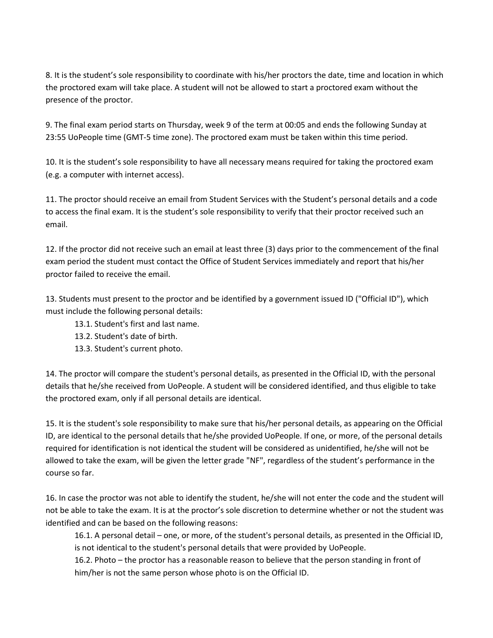8. It is the student's sole responsibility to coordinate with his/her proctors the date, time and location in which the proctored exam will take place. A student will not be allowed to start a proctored exam without the presence of the proctor.

9. The final exam period starts on Thursday, week 9 of the term at 00:05 and ends the following Sunday at 23:55 UoPeople time (GMT-5 time zone). The proctored exam must be taken within this time period.

10. It is the student's sole responsibility to have all necessary means required for taking the proctored exam (e.g. a computer with internet access).

11. The proctor should receive an email from Student Services with the Student's personal details and a code to access the final exam. It is the student's sole responsibility to verify that their proctor received such an email.

12. If the proctor did not receive such an email at least three (3) days prior to the commencement of the final exam period the student must contact the Office of Student Services immediately and report that his/her proctor failed to receive the email.

13. Students must present to the proctor and be identified by a government issued ID ("Official ID"), which must include the following personal details:

- 13.1. Student's first and last name.
- 13.2. Student's date of birth.
- 13.3. Student's current photo.

14. The proctor will compare the student's personal details, as presented in the Official ID, with the personal details that he/she received from UoPeople. A student will be considered identified, and thus eligible to take the proctored exam, only if all personal details are identical.

15. It is the student's sole responsibility to make sure that his/her personal details, as appearing on the Official ID, are identical to the personal details that he/she provided UoPeople. If one, or more, of the personal details required for identification is not identical the student will be considered as unidentified, he/she will not be allowed to take the exam, will be given the letter grade "NF", regardless of the student's performance in the course so far.

16. In case the proctor was not able to identify the student, he/she will not enter the code and the student will not be able to take the exam. It is at the proctor's sole discretion to determine whether or not the student was identified and can be based on the following reasons:

16.1. A personal detail – one, or more, of the student's personal details, as presented in the Official ID, is not identical to the student's personal details that were provided by UoPeople.

16.2. Photo – the proctor has a reasonable reason to believe that the person standing in front of him/her is not the same person whose photo is on the Official ID.